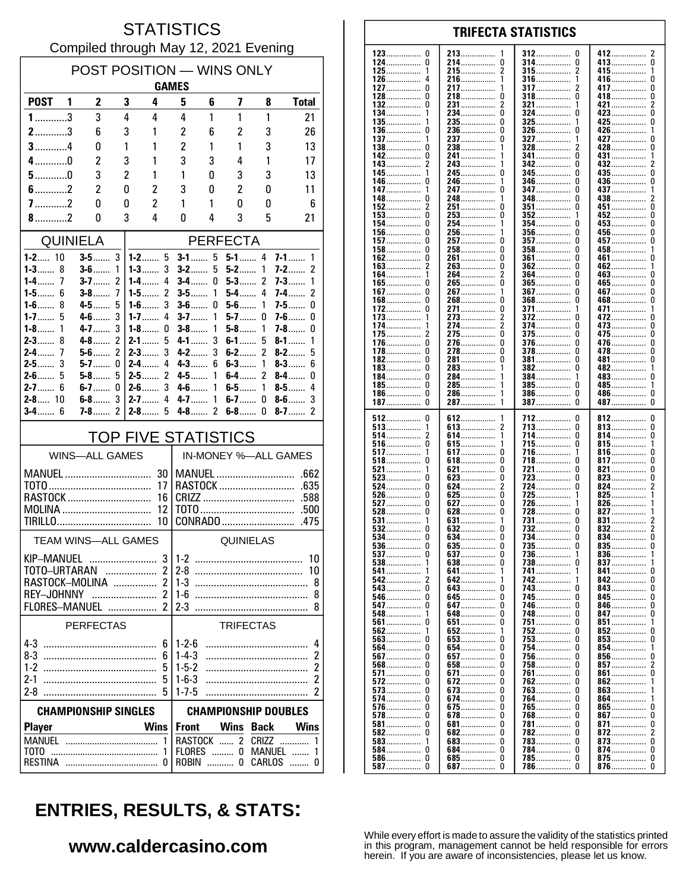### **STATISTICS** Compiled through May 12, 2021 Evening

| POST POSITION - WINS ONLY                                  |                       |                    |                     |                          |                                                          |          |                  |                  |                                        |  |
|------------------------------------------------------------|-----------------------|--------------------|---------------------|--------------------------|----------------------------------------------------------|----------|------------------|------------------|----------------------------------------|--|
|                                                            |                       |                    |                     | <b>GAMES</b>             |                                                          |          |                  |                  |                                        |  |
| <b>POST</b>                                                | - 1                   | 2                  | 3                   | 4                        | 5                                                        | 6        | 7                | 8                | <b>Total</b>                           |  |
| $1$ 3                                                      |                       | 3                  | 4                   | 4                        | 4                                                        | 1        | 1                | 1                | 21                                     |  |
| $2$ 3                                                      |                       | 6                  | 3                   | 1                        | 2                                                        | 6        | 2                | 3                | 26                                     |  |
| $3$ 4                                                      |                       | 0                  | 1                   | 1                        | $\overline{c}$<br>3                                      | 1        | 1                | 3                | 13                                     |  |
| $4$ 0<br>$5$ 0                                             |                       | 2<br>3             | 3<br>$\overline{c}$ | 1<br>1                   | 1                                                        | 3<br>0   | 4<br>3           | 1<br>3           | 17                                     |  |
| $6$ 2                                                      |                       | 2                  | 0                   | 2                        | 3                                                        | 0        | 2                | 0                | 13<br>11                               |  |
| $7$ 2                                                      |                       | 0                  | 0                   | 2                        | 1                                                        | 1        | 0                | 0                | 6                                      |  |
| $8$ 2                                                      |                       | 0                  | 3                   | 4                        | 0                                                        | 4        | 3                | 5                | 21                                     |  |
|                                                            | <b>QUINIELA</b>       |                    |                     |                          |                                                          |          |                  |                  |                                        |  |
| $1 - 2$ 10                                                 |                       | $3-5$              | 3                   | $1 - 2$ 5                | <b>PERFECTA</b><br>5<br>$5 - 1$ 4<br>$7-1$<br>$3-1$<br>1 |          |                  |                  |                                        |  |
| 1-3……<br>8                                                 |                       | $3-6$              | 1                   | 3<br>1-3……               | $3-2$                                                    | 5        | 5-2              | 1                | 2<br>7-2……                             |  |
| $1-4$<br>7                                                 |                       | $3-7$              | 2                   | 4<br>$1-4$               | $3-4$                                                    | 0        | $5-3$            | 2                | 7-3……<br>1                             |  |
| $1 - 5$<br>6<br>$1-6$<br>8                                 |                       | $3-8$              | 7<br>5              | 2<br>$1 - 5$<br>3        | $3-5$<br>$3-6$                                           | 1        | 5-4……<br>$5-6$   | 4<br>1           | $\overline{\phantom{a}}$<br>$7-4$<br>0 |  |
| 1-7 $\dots$<br>5                                           |                       | $4 - 5$<br>$4 - 6$ | 3                   | $1 - 6$<br>$1 - 7$<br>4  | $3 - 7$                                                  | 0<br>1   | 5-7……            | 0                | $7-5$<br>7-6……<br>0                    |  |
| $1-8$<br>1                                                 |                       | $4 - 7$            | 3                   | 1-8……<br>0               | $3-8$                                                    | 1        | $5-8$            | 1                | 7-8<br>0                               |  |
| 8<br>$2 - 3$                                               |                       | $4-8$              | $\overline{2}$      | 2-1……<br>5               | $4 - 1$                                                  | 3        | $6-1$            | 5                | $8-1$<br>1                             |  |
| 7<br>$2-4$<br>$2-5$<br>3                                   |                       | $5-6$<br>5-7       | 2<br>0              | $2-3$<br>3<br>$2-4$<br>4 | $4-2$<br>$4-3$                                           | 3<br>6   | $6-2$<br>$6-3$   | 2<br>1           | $8-2$<br>5<br>$8-3$<br>6               |  |
|                                                            |                       | $5-8$              | 5                   | 2<br>$2-5$               | $4-5$                                                    | 1        | 6-4……            | 2                | $8-4$<br>0                             |  |
| $2 - 7$ 6                                                  |                       | $6-7$              | 0                   | 3<br>2-6……               | $4-6$                                                    | 1        | 6-5……            | 1                | $8-5$<br>4                             |  |
| $2 - 8$ 10                                                 |                       | $6-8$              | 3                   | $2 - 7$<br>4             | $4 - 7$                                                  | 1        | 6-7.             | 0                | $8-6$<br>3                             |  |
| $3 - 4$ 6                                                  |                       | $7 - 8$            | 2                   | $2 - 8$<br>5             | $4-8$                                                    | 2        | $6-8$            | 0                | $8-7$<br>2                             |  |
| <b>TOP FIVE STATISTICS</b>                                 |                       |                    |                     |                          |                                                          |          |                  |                  |                                        |  |
|                                                            | <b>WINS-ALL GAMES</b> |                    |                     |                          |                                                          |          |                  |                  | IN-MONEY %-ALL GAMES                   |  |
| <b>MANUEL</b>                                              |                       |                    |                     | 30                       |                                                          |          |                  |                  |                                        |  |
|                                                            |                       |                    |                     | 17<br>16                 |                                                          |          |                  | RASTOCK          | .635<br>.588                           |  |
| RASTOCK<br>MOLINA<br>12                                    |                       |                    |                     |                          |                                                          |          |                  |                  |                                        |  |
|                                                            |                       |                    |                     | 10                       |                                                          |          |                  | CONRADO          | .475                                   |  |
| TEAM WINS-ALL GAMES                                        |                       |                    |                     |                          |                                                          |          | QUINIELAS        |                  |                                        |  |
| KIP-MANUEL                                                 |                       | .                  |                     | 3 <sup>1</sup>           |                                                          |          |                  |                  | 10                                     |  |
| TOTO-URTARAN                                               |                       |                    |                     | 2                        | $2-8$                                                    |          |                  |                  | 10                                     |  |
| $\overline{2}$<br>RASTOCK-MOLINA                           |                       |                    |                     |                          | 8<br>8                                                   |          |                  |                  |                                        |  |
|                                                            |                       |                    |                     | FLORES-MANUEL  2         |                                                          |          |                  |                  | 8                                      |  |
|                                                            | PERFECTAS             |                    |                     |                          |                                                          |          | <b>TRIFECTAS</b> |                  |                                        |  |
|                                                            |                       |                    |                     | 6                        | $1 - 2 - 6$                                              |          |                  |                  | 4                                      |  |
|                                                            |                       |                    |                     | 6                        | $1 - 4 - 3$                                              |          |                  |                  | $\overline{\mathbf{c}}$                |  |
|                                                            |                       |                    |                     | 5                        | $1 - 5 - 2$                                              |          |                  |                  | 2                                      |  |
| $2 - 1$<br>$2 - 8$                                         |                       |                    |                     | 5                        | $1 - 6 - 3$<br>$1 - 7 - 5$                               |          |                  |                  | 2<br>2                                 |  |
| <b>CHAMPIONSHIP DOUBLES</b><br><b>CHAMPIONSHIP SINGLES</b> |                       |                    |                     |                          |                                                          |          |                  |                  |                                        |  |
| <b>Player</b>                                              |                       |                    |                     | <b>Wins</b>              | <b>Front</b>                                             |          | <b>Wins Back</b> |                  | Wins                                   |  |
|                                                            |                       |                    |                     | 1                        |                                                          |          |                  | RASTOCK  2 CRIZZ | 1                                      |  |
|                                                            |                       |                    |                     | 1                        |                                                          |          |                  | FLORES  0 MANUEL | 1                                      |  |
|                                                            |                       |                    |                     | 0                        |                                                          | ROBIN  0 |                  |                  | CARLOS<br>0                            |  |

#### 123  $\mathbf 0$ 213 412  $\overline{2}$ 312 <sup>0</sup> 124  $\pmb{0}$ 214................  $\pmb{0}$ 314 413  $\overline{0}$ . . . . . . . . . . . . . . . . . . . . . . . .  $215$ ................  $\overline{2}$  $\overline{2}$ 125 1 315 415................ . . . . . . . . . . . . . . . . . . . . . . . . . . . . . . 126 216 1 316 1 416  $\mathbf{0}$  $\Delta$ .............. . . . . . . . . . . . . . . . . . . . . . . . . . . . . . . 127  $\Omega$ 217 317 417  $\Omega$ 1 2 . . . . . . . . . . . . . . . . . . . . . . . . . . . . . . . . . . . . . . . . 128  $\Omega$ 218  $\Omega$ 318  $\Omega$ 418  $\Omega$ ž 132  $\Omega$ 231................  $\overline{\phantom{a}}$ 321.................  $421$ 1 134.  $\Omega$  $\Omega$ ō  $234$ ................  $324$  ................ 423...... 135 235.................  $\Omega$ 325  $425$  $\mathbf 0$ 236  $\pmb{0}$ 326 426................ 136 0  $\Omega$ . . . . . . . . . . . . . . . . . . . . . . . . . . . . . . . . . . . . . . . . . . . . . . 137 237  $\Omega$ 327 427  $\Omega$ . . . . . . . . . . . . . . . . . . . . . . . . . . . . . 138  $\Omega$ 238 328 428  $\Omega$  $\mathbf{1}$ . . . . . . . . . . . . . 142 241................ n  $\Omega$  $341$  ................ 431  $\mathbf{1}$  $143.$  $\bar{2}$ 243................ 342  $\Omega$ . . . . . . . . . . . . . . .  $345$  $\overline{0}$ 245  $\mathbf 0$  $\mathbf{0}$  $435...$ 145 -1 346 0 436. 146 246 . . . . . . . . . . . . . . . . . . . . . . . . . . . . . . . . . . . . . . . . . . . . . . . . . . . . . . . . . . . . 147 247  $\Omega$ 347 n 437 . . . . . . . . . . . . . . . . . . . . . . . . . . . . . . . . . . . . . . . . . . 148 248 348 438................ 0 <sup>0</sup> 2 . . . . . . . . . . . . . . . .............. . . . . . . . . . . . . . . . . 152  $\overline{2}$ 251 0 351 <sup>0</sup> 451 0 . . . . . . . . . . . . . . . . . . . . . . . . . . . . . . . . . . . . . . . . 153  $\Omega$ 253  $\Omega$ 352 452  $\Omega$  $\mathbf{1}$ ŏ 154  $\Omega$ 254. 354  $453$  $\mathbf{1}$ n 156.  $\mathbf 0$  $\mathbf 0$ 256  $356$  $\Omega$  $456$ 157.  $\Omega$ 257.  $\mathbf{0}$ 357  $457...$  $\mathbf{0}$ . . . . . . . . . . . . . . . . . . . . . . . . . . . . . . . . . . . . . . . . . . . . . 458................  $\pmb{0}$ 158 0 258 358  $\Omega$ . . . . . . . . . . . . . . . . .............. . . . . . . . . . . . . . . . . 461 162  $\Omega$ 261  $\Omega$ 361  $\Omega$  $\mathbf{0}$ . . . . . . . . . . . . . . . ............... . . . . . . . . . . . . . . . . . . . . . . . . 163  $\overline{2}$ 263  $\Omega$ 362  $\Omega$ 462  $\overline{1}$ . . . . . . . . . . . . . . . . . . . . . . . . . . . . . . . . . . . . . . . . .  $\dot{0}$ 264................  $364$  ................ 164  $\overline{2}$  $\Omega$  $463...$  $\mathbf{1}$ 265.................. 165................ ò ō ñ  $465$ ñ  $\mathbf 0$  $\overline{0}$  $\mathbf 0$  $267$ ................  $367$  ................  $467$ ............... 167.  $\mathbf{1}$ . . . . . . . . . . . . . . Ō  $\ddot{\mathbf{0}}$ Ō Ō 168 268 368 468 . . . . . . . . . . . . . . . . . . . . . . . . . . . . . . . . . . . . . . . . . . . . . . . . . . . . . . . . . . . . 172.  $\pmb{0}$ 271................  $\pmb{0}$ 371................ 471........  $\mathbf{1}$ . . . . . . . . . . . . . 273  $\overline{a}$ 372  $\mathbf{0}$ 173 ŋ 472 . . . . . . . . . . . . . . . . . . . . . . . . . . . . . . . . . . . . . . . . . . . . . . . . . . . . . . . . . . . . . 174 274  $\overline{2}$ 374  $\Omega$ 473  $\pmb{0}$ . . . . . . . . . . . . . . . . . . . . . . . . . . . . . . . . . . . . . . . . . . . . . . . . . . . . . . . . . . .  $\Omega$ 175 2 275 375  $\Omega$ 475.  $\Omega$ ............. . . . . . . . . . . . . . . . . . . . . . . . . . . . . .  $\Omega$ 376.  $\Omega$ 176 276.  $\Omega$  $\Omega$ 476. ŏ ŏ  $\Omega$ 278................  $\Omega$ 478  $178$ ................  $378$ 182.  $\Omega$ 281.................  $\Omega$ 381  $\theta$  $\mathbf{0}$ 481 . . . . . . . . . . . . . . . . . . . . . . . . . . . . . . .  $183$ ................. 0 283 382 0  $482$ ................ . . . . . . . . . . . . . . . . . . . . . . . . . . . . . . . 184  $\Omega$ 284 384 483  $\Omega$ . . . . . . . . . . . . . . . . . . . . . . . . . . . . . . . ............... . . . . . . . . . . . . . . . . 185  $\Omega$ 285 385  $\Omega$ 485 . . . . . . . . . . . . . . . . . . . . . . . . . . . . . . . . . . . . . . . . . . . . .  $\mathbf{1}$ . . . . . . . . . . . . . . 186.  $\Omega$ 286.  $386$ ................  $\Omega$ 486................  $\Omega$ . . . . . . . . . . . . . . . . . . . . . . . . . . . . . .  $\tilde{0}$  $\tilde{0}$  $\Omega$ 187................ 287 — 287 387 387 512  $\mathbf 0$ 612 712  $\mathbf{0}$ 812. 0 . . . . . . . . . . . . . . . . . . . . . . . . .  $513$ ................ 613  $\overline{2}$  $\Omega$  $\pmb{0}$ 713 813................ .............. . . . . . . . . . . . . . . . . 514 2 614  $\mathbf{1}$ 714  $\Omega$ 814 0 . . . . . . . . . . . . . . . . . . . . . . . . . . . . . . . . . . . . . . . . . . . . . . . . . . . . . . . . . . . . 516 0 615 715  $\Omega$ 815  $\mathbf{1}$ . . . . . . . . . . . . . . . . . . . . . . . . . . -1 . . . . . . . . . . . . . .  $\dot{0}$  $\ddot{\mathbf{0}}$ 517................ -1 617... 716. 1  $816...$  $518$ ................  $\mathbf{0}$  $\Omega$  $618$ ................ 0  $718$ ................  $\Omega$ 817 521  $\pmb{0}$ 721  $\theta$ 821  $\pmb{0}$ 621 . . . . . . . . . . . . . . . . . . . . . . . . . . . . . 523  $\Omega$ 623  $\pmb{0}$ 723  $\Omega$ 823  $\pmb{0}$ . . . . . . . . . . . . . . . .............. . . . . . . . . . . . . . . . . . . . . . . . . . . . . . . . 524  $\Omega$ 624 2 724  $\Omega$ 824  $\overline{\phantom{a}}$ . . . . . . . . . . . . . . . . . . . . . . . . . . . . . . . . . . . . . . . . . . . . .  $\Omega$  $725.726$ 526  $\Omega$ 625 825 1 . . . . . . . . . . . . . . . . . . . . . . . . . . . . . . 627................ 527  $\Omega$  $\Omega$ -1 826 528 Ō  $628$ ................. Ō  $728$ ................. ò  $827$ 531................ 631................ 731 831 . . . . . . . . . . . . . . . . 732............... 532................ 632................  $\ddot{\mathbf{0}}$  $\bar{2}$  $\mathbf{0}$  $\Omega$  $832$ ....... 734  $\overline{0}$  $534$ ................  $\mathbf{0}$ 634................  $\mathbf{0}$ 0 834....... 635  $\begin{smallmatrix} 0 \\ 0 \end{smallmatrix}$ 735  $\pmb{0}$ 536 0 0 835 . . . . . . . . . . . . . . . . .............. . . . . . . . . . . . . . . . . . . . . . . . . . . . . . . . 537  $\Omega$ 637 736  $\mathbf{1}$ 836  $\overline{1}$ 738 837 538 -1 638  $\Omega$  $\Omega$ . . . . . . . . . . . . . . . . . . . . . . . . . 641............... 741................ 541 -1 1  $841...$ 0 642............... 742................ 842........ 542.  $\overline{2}$  $\mathbf 0$ . . . . . . . . . . . . . . . 543.  $\pmb{0}$  $\pmb{0}$ 743  $\theta$  $\pmb{0}$ 643.  $843...$ . . . . . . . . . . . . . . ............... 546................ 645................  $\mathbf 0$ 745.  $845$ ................  $\mathbf 0$ 0  $\Omega$ . . . . . . . . . . . . . . . . 547  $\pmb{0}$ 647  $\Omega$ 746  $\Omega$ 846  $\pmb{0}$ . . . . . . . . . . . . . . . . . . . . . . . . . . . . . . . . . . . . . . . . . . . . . . 548 648  $\Omega$ 748  $\Omega$ 847  $\Omega$ . . . . . . . . . . . . . . . . . . . . . . . . . . . . . . . . . . . . . . . . . . . .  $651$ ................ 561  $\Omega$  $\Omega$ 751  $\Omega$  $851...$  $\overline{1}$  $\dot{0}$  $\Omega$ 852 562  $\overline{1}$ 652................ 1 563................ ó 653................. . 753 Ō 853 Ō . . . . . . . . . . . . . . . . 564 Ō 654 Ō 754 Ō 854 . . . . . . . . . . . . . . . . . . . . . . . . . . . . . . 856................ 567  $\Omega$ 657  $\Omega$ 756 n  $\Omega$ . . . . . . . . . . . . . . . ............... . . . . . . . . . . . . . . . . 568  $\mathbf{0}$ 658  $\Omega$ 758  $\Omega$ 857  $\mathfrak{p}$ . . . . . . . . . . . . . . . . . . . . . . . . . . . .  $861$ ...... 571  $\mathbf{0}$ 671  $\mathbf{0}$ 761  $\Omega$  $\mathbf{0}$ . . . . . . . . . . . . . . . .............. 572 0 672 0 762 <sup>0</sup> 862 ............ . . . . . . . . . . . . . . . . . . . . . . . . . . . 573  $\Omega$ 673  $\Omega$ 763.  $\Omega$ 863  $574$ ............... 0 674................  $\mathbf 0$ 764.................  $\Omega$  $864...$ 576. ................ 0 675.  $\pmb{0}$ 765.  $\pmb{0}$ 865.................  $\pmb{0}$ . . . . . . . . . . . . . . . . . . . . . . . . . . . . . . 578  $\Omega$ 678  $\Omega$ 768  $\theta$  $867$  $\mathbf 0$ . . . . . . . . . . . . . . . . . . . . . . . . . . . . . . . . . . . . . . . . . . . . .  $581$ ................  $\pmb{0}$ 681.  $\pmb{0}$ 781  $\Omega$ 871  $\pmb{0}$ . . . . . . . . . . . . . . . . . . . . . . . . . . . . . . . . . . . . . . . . . . . . . . . 582  $\Omega$ 682  $\Omega$ 782  $\Omega$ 872  $\mathcal{P}$ . . . . . . . . . . . . . . . . . . . . . . . . . . . . . . . . . . . . . . . . . . . . . . . . . . . . . . . . . 583  $\mathbf{1}$ 683  $\Omega$ 783  $\Omega$ 873  $\Omega$ . . . . . . . . . . . . . . . . . . . . . . . . . . . . . . . . . . . . . . . . . . . . . . . . . . . 684............... Ŏ  $584$ ................  $\Omega$  $\Omega$ 784................  $\Omega$ 874................ 586............... 685................ 785................  $\mathbf 0$ 0  $\Omega$ 875.................  $\mathbf{0}$

**TRIFECTA STATISTICS** 

# **ENTRIES, RESULTS, & STATS:**

#### www.caldercasino.com

While every effort is made to assure the validity of the statistics printed in this program, management cannot be held responsible for errors herein. If you are aware of inconsistencies, please let us know.

786

 $\Omega$ 

876................

 $\Omega$ 

587.

 $\Omega$ 

687.................

 $\Omega$